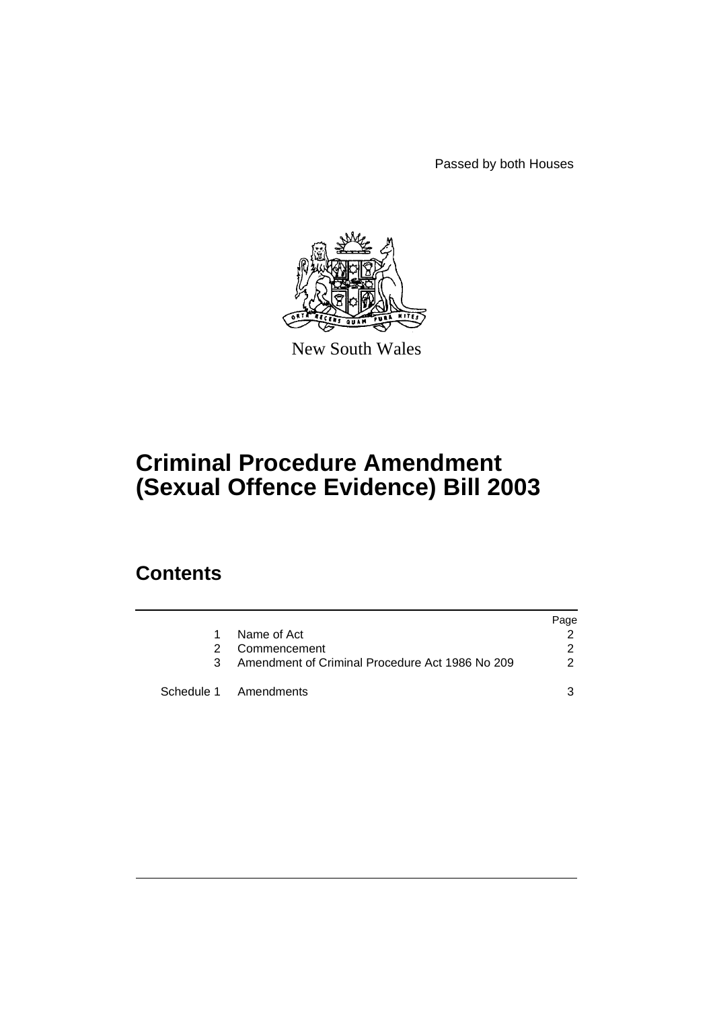Passed by both Houses



New South Wales

# **Criminal Procedure Amendment (Sexual Offence Evidence) Bill 2003**

## **Contents**

|    |                                                 | Page |
|----|-------------------------------------------------|------|
| 1. | Name of Act                                     |      |
| 2. | Commencement                                    | 2    |
| 3  | Amendment of Criminal Procedure Act 1986 No 209 | 2    |
|    | Schedule 1 Amendments                           |      |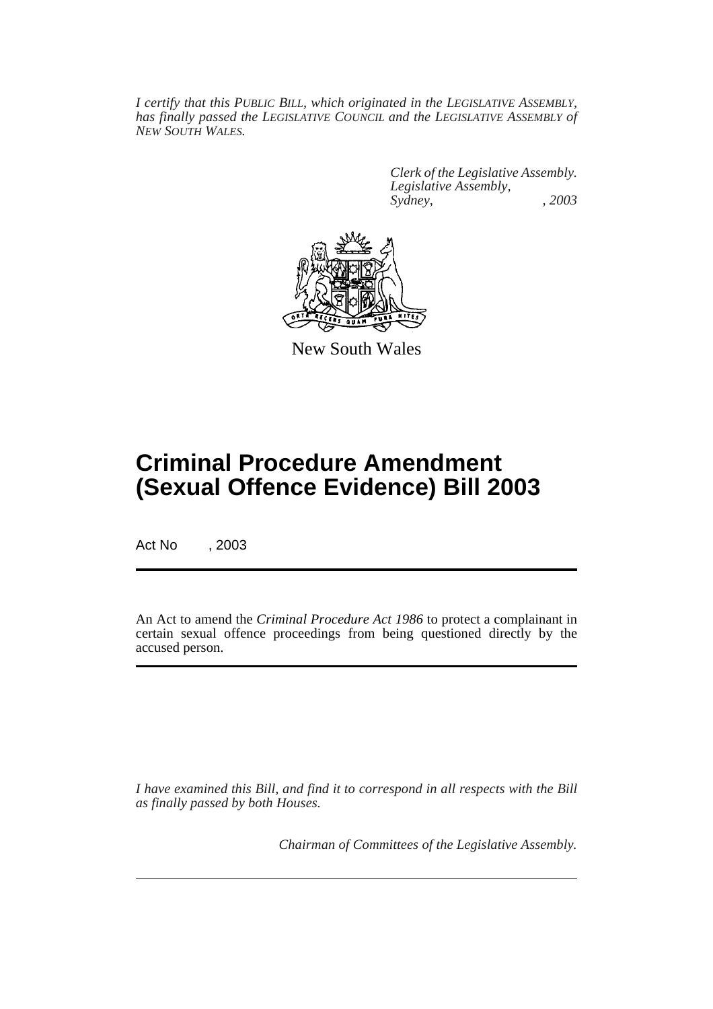*I certify that this PUBLIC BILL, which originated in the LEGISLATIVE ASSEMBLY, has finally passed the LEGISLATIVE COUNCIL and the LEGISLATIVE ASSEMBLY of NEW SOUTH WALES.*

> *Clerk of the Legislative Assembly. Legislative Assembly, Sydney, , 2003*



New South Wales

## **Criminal Procedure Amendment (Sexual Offence Evidence) Bill 2003**

Act No , 2003

An Act to amend the *Criminal Procedure Act 1986* to protect a complainant in certain sexual offence proceedings from being questioned directly by the accused person.

*I have examined this Bill, and find it to correspond in all respects with the Bill as finally passed by both Houses.*

*Chairman of Committees of the Legislative Assembly.*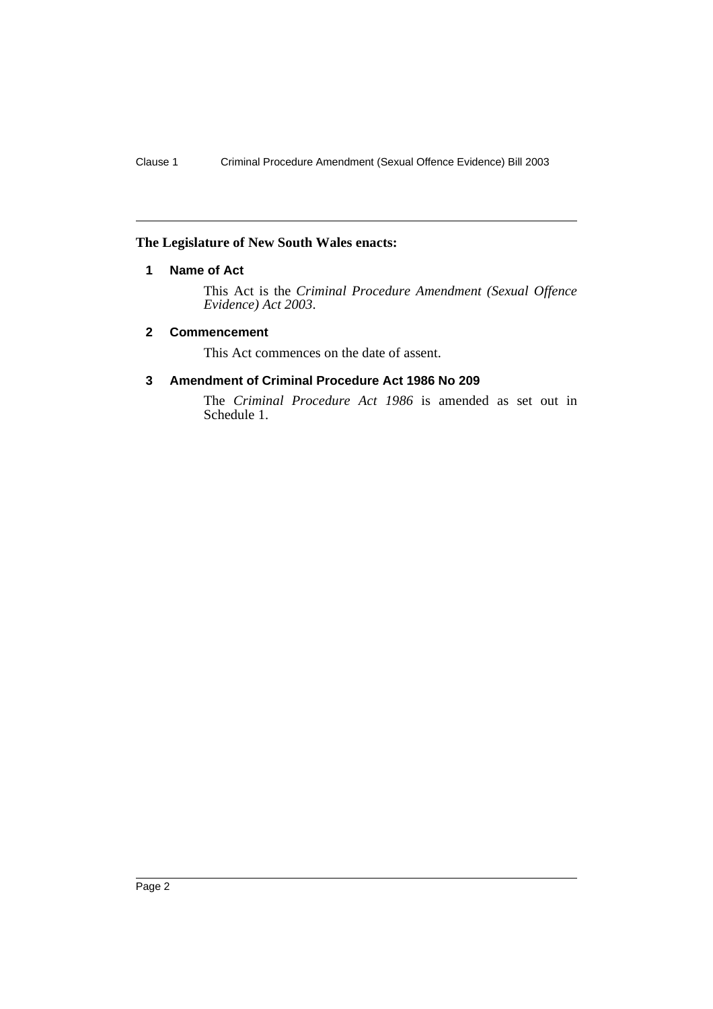#### <span id="page-3-0"></span>**The Legislature of New South Wales enacts:**

### **1 Name of Act**

This Act is the *Criminal Procedure Amendment (Sexual Offence Evidence) Act 2003*.

#### <span id="page-3-1"></span>**2 Commencement**

This Act commences on the date of assent.

#### <span id="page-3-2"></span>**3 Amendment of Criminal Procedure Act 1986 No 209**

The *Criminal Procedure Act 1986* is amended as set out in Schedule 1.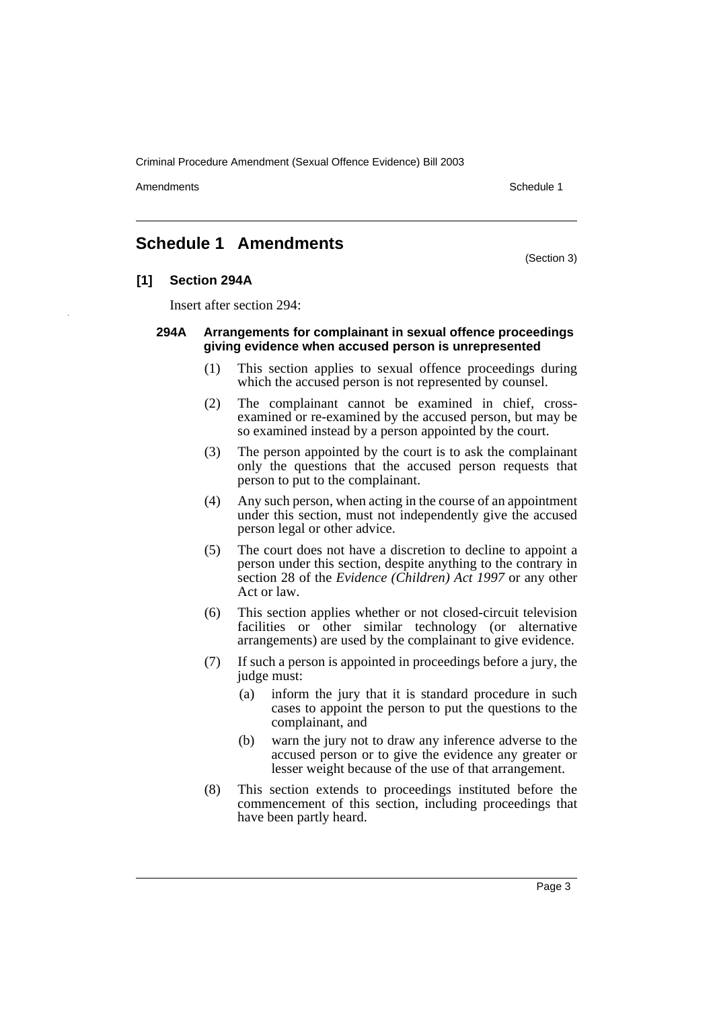Criminal Procedure Amendment (Sexual Offence Evidence) Bill 2003

Amendments **Amendments** Schedule 1

### <span id="page-4-0"></span>**Schedule 1 Amendments**

(Section 3)

#### **[1] Section 294A**

Insert after section 294:

#### **294A Arrangements for complainant in sexual offence proceedings giving evidence when accused person is unrepresented**

- (1) This section applies to sexual offence proceedings during which the accused person is not represented by counsel.
- (2) The complainant cannot be examined in chief, crossexamined or re-examined by the accused person, but may be so examined instead by a person appointed by the court.
- (3) The person appointed by the court is to ask the complainant only the questions that the accused person requests that person to put to the complainant.
- (4) Any such person, when acting in the course of an appointment under this section, must not independently give the accused person legal or other advice.
- (5) The court does not have a discretion to decline to appoint a person under this section, despite anything to the contrary in section 28 of the *Evidence (Children) Act 1997* or any other Act or law.
- (6) This section applies whether or not closed-circuit television facilities or other similar technology (or alternative arrangements) are used by the complainant to give evidence.
- (7) If such a person is appointed in proceedings before a jury, the judge must:
	- (a) inform the jury that it is standard procedure in such cases to appoint the person to put the questions to the complainant, and
	- (b) warn the jury not to draw any inference adverse to the accused person or to give the evidence any greater or lesser weight because of the use of that arrangement.
- (8) This section extends to proceedings instituted before the commencement of this section, including proceedings that have been partly heard.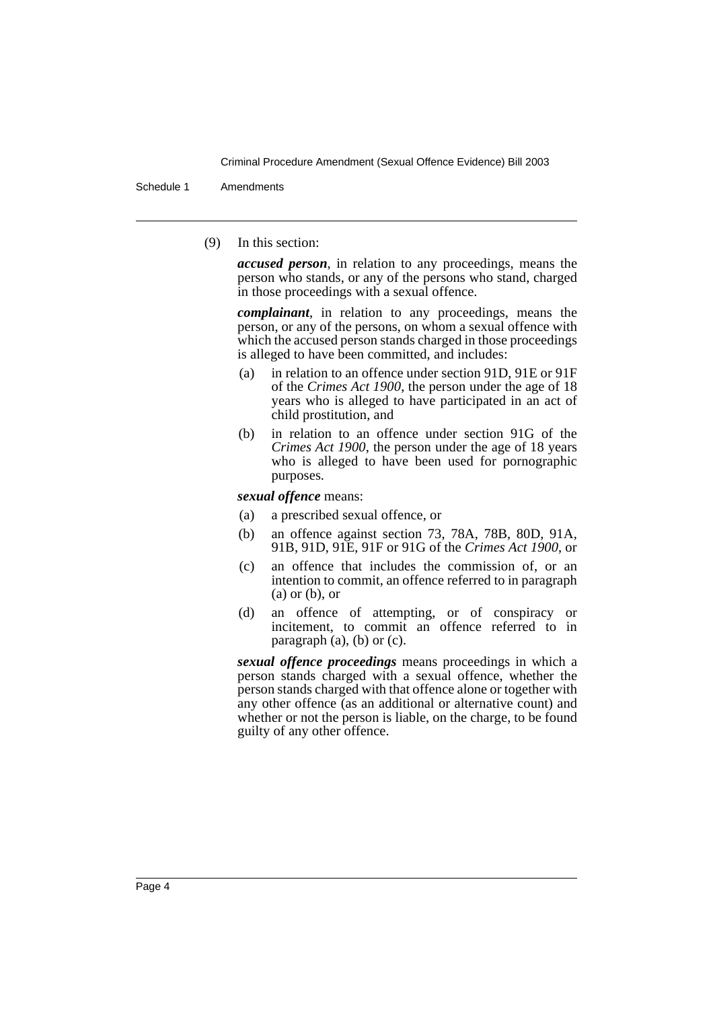Criminal Procedure Amendment (Sexual Offence Evidence) Bill 2003

Schedule 1 Amendments

(9) In this section:

*accused person*, in relation to any proceedings, means the person who stands, or any of the persons who stand, charged in those proceedings with a sexual offence.

*complainant*, in relation to any proceedings, means the person, or any of the persons, on whom a sexual offence with which the accused person stands charged in those proceedings is alleged to have been committed, and includes:

- (a) in relation to an offence under section 91D, 91E or 91F of the *Crimes Act 1900*, the person under the age of 18 years who is alleged to have participated in an act of child prostitution, and
- (b) in relation to an offence under section 91G of the *Crimes Act 1900*, the person under the age of 18 years who is alleged to have been used for pornographic purposes.

*sexual offence* means:

- (a) a prescribed sexual offence, or
- (b) an offence against section 73, 78A, 78B, 80D, 91A, 91B, 91D, 91E, 91F or 91G of the *Crimes Act 1900*, or
- (c) an offence that includes the commission of, or an intention to commit, an offence referred to in paragraph (a) or (b), or
- (d) an offence of attempting, or of conspiracy or incitement, to commit an offence referred to in paragraph (a), (b) or (c).

*sexual offence proceedings* means proceedings in which a person stands charged with a sexual offence, whether the person stands charged with that offence alone or together with any other offence (as an additional or alternative count) and whether or not the person is liable, on the charge, to be found guilty of any other offence.